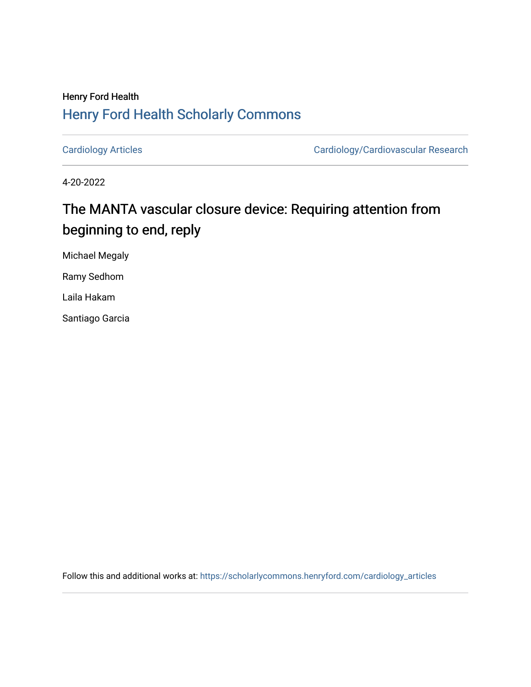## Henry Ford Health [Henry Ford Health Scholarly Commons](https://scholarlycommons.henryford.com/)

[Cardiology Articles](https://scholarlycommons.henryford.com/cardiology_articles) [Cardiology/Cardiovascular Research](https://scholarlycommons.henryford.com/cardiology) 

4-20-2022

# The MANTA vascular closure device: Requiring attention from beginning to end, reply

Michael Megaly

Ramy Sedhom

Laila Hakam

Santiago Garcia

Follow this and additional works at: [https://scholarlycommons.henryford.com/cardiology\\_articles](https://scholarlycommons.henryford.com/cardiology_articles?utm_source=scholarlycommons.henryford.com%2Fcardiology_articles%2F912&utm_medium=PDF&utm_campaign=PDFCoverPages)